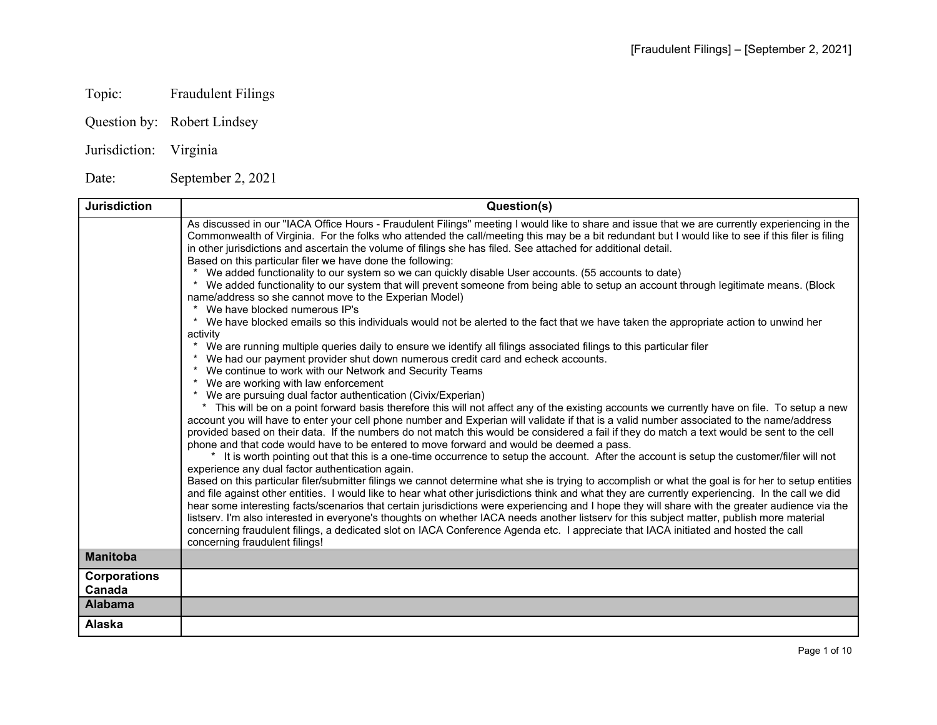## Topic: Fraudulent Filings

Question by: Robert Lindsey

## Jurisdiction: Virginia

Date: September 2, 2021

| <b>Jurisdiction</b> | Question(s)                                                                                                                                                                                                                                                                                                                                                                                                                                                                        |
|---------------------|------------------------------------------------------------------------------------------------------------------------------------------------------------------------------------------------------------------------------------------------------------------------------------------------------------------------------------------------------------------------------------------------------------------------------------------------------------------------------------|
|                     | As discussed in our "IACA Office Hours - Fraudulent Filings" meeting I would like to share and issue that we are currently experiencing in the<br>Commonwealth of Virginia. For the folks who attended the call/meeting this may be a bit redundant but I would like to see if this filer is filing<br>in other jurisdictions and ascertain the volume of filings she has filed. See attached for additional detail.<br>Based on this particular filer we have done the following: |
|                     | We added functionality to our system so we can quickly disable User accounts. (55 accounts to date)                                                                                                                                                                                                                                                                                                                                                                                |
|                     | We added functionality to our system that will prevent someone from being able to setup an account through legitimate means. (Block<br>name/address so she cannot move to the Experian Model)                                                                                                                                                                                                                                                                                      |
|                     | We have blocked numerous IP's                                                                                                                                                                                                                                                                                                                                                                                                                                                      |
|                     | * We have blocked emails so this individuals would not be alerted to the fact that we have taken the appropriate action to unwind her<br>activity                                                                                                                                                                                                                                                                                                                                  |
|                     | * We are running multiple queries daily to ensure we identify all filings associated filings to this particular filer                                                                                                                                                                                                                                                                                                                                                              |
|                     | * We had our payment provider shut down numerous credit card and echeck accounts.                                                                                                                                                                                                                                                                                                                                                                                                  |
|                     | * We continue to work with our Network and Security Teams<br>* We are working with law enforcement                                                                                                                                                                                                                                                                                                                                                                                 |
|                     | * We are pursuing dual factor authentication (Civix/Experian)                                                                                                                                                                                                                                                                                                                                                                                                                      |
|                     | This will be on a point forward basis therefore this will not affect any of the existing accounts we currently have on file. To setup a new<br>$\star$                                                                                                                                                                                                                                                                                                                             |
|                     | account you will have to enter your cell phone number and Experian will validate if that is a valid number associated to the name/address<br>provided based on their data. If the numbers do not match this would be considered a fail if they do match a text would be sent to the cell                                                                                                                                                                                           |
|                     | phone and that code would have to be entered to move forward and would be deemed a pass.<br>* It is worth pointing out that this is a one-time occurrence to setup the account. After the account is setup the customer/filer will not                                                                                                                                                                                                                                             |
|                     | experience any dual factor authentication again.                                                                                                                                                                                                                                                                                                                                                                                                                                   |
|                     | Based on this particular filer/submitter filings we cannot determine what she is trying to accomplish or what the goal is for her to setup entities                                                                                                                                                                                                                                                                                                                                |
|                     | and file against other entities. I would like to hear what other jurisdictions think and what they are currently experiencing. In the call we did                                                                                                                                                                                                                                                                                                                                  |
|                     | hear some interesting facts/scenarios that certain jurisdictions were experiencing and I hope they will share with the greater audience via the<br>listserv. I'm also interested in everyone's thoughts on whether IACA needs another listserv for this subject matter, publish more material                                                                                                                                                                                      |
|                     | concerning fraudulent filings, a dedicated slot on IACA Conference Agenda etc. I appreciate that IACA initiated and hosted the call                                                                                                                                                                                                                                                                                                                                                |
|                     | concerning fraudulent filings!                                                                                                                                                                                                                                                                                                                                                                                                                                                     |
| <b>Manitoba</b>     |                                                                                                                                                                                                                                                                                                                                                                                                                                                                                    |
| <b>Corporations</b> |                                                                                                                                                                                                                                                                                                                                                                                                                                                                                    |
| Canada              |                                                                                                                                                                                                                                                                                                                                                                                                                                                                                    |
| <b>Alabama</b>      |                                                                                                                                                                                                                                                                                                                                                                                                                                                                                    |
| Alaska              |                                                                                                                                                                                                                                                                                                                                                                                                                                                                                    |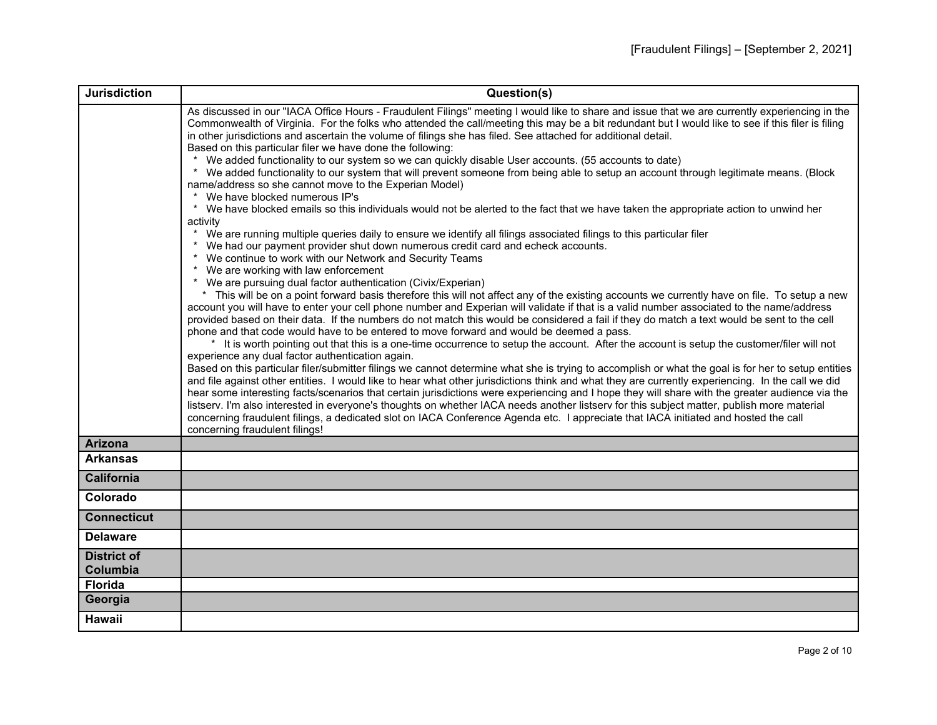| <b>Jurisdiction</b>            | Question(s)                                                                                                                                                                                                                                                                                                                                                                                                                                                                                                                                                                                                                                                                                                                                                                                                                            |
|--------------------------------|----------------------------------------------------------------------------------------------------------------------------------------------------------------------------------------------------------------------------------------------------------------------------------------------------------------------------------------------------------------------------------------------------------------------------------------------------------------------------------------------------------------------------------------------------------------------------------------------------------------------------------------------------------------------------------------------------------------------------------------------------------------------------------------------------------------------------------------|
|                                | As discussed in our "IACA Office Hours - Fraudulent Filings" meeting I would like to share and issue that we are currently experiencing in the<br>Commonwealth of Virginia. For the folks who attended the call/meeting this may be a bit redundant but I would like to see if this filer is filing<br>in other jurisdictions and ascertain the volume of filings she has filed. See attached for additional detail.<br>Based on this particular filer we have done the following:<br>* We added functionality to our system so we can quickly disable User accounts. (55 accounts to date)                                                                                                                                                                                                                                            |
|                                | * We added functionality to our system that will prevent someone from being able to setup an account through legitimate means. (Block<br>name/address so she cannot move to the Experian Model)<br>* We have blocked numerous IP's                                                                                                                                                                                                                                                                                                                                                                                                                                                                                                                                                                                                     |
|                                | * We have blocked emails so this individuals would not be alerted to the fact that we have taken the appropriate action to unwind her<br>activity                                                                                                                                                                                                                                                                                                                                                                                                                                                                                                                                                                                                                                                                                      |
|                                | * We are running multiple queries daily to ensure we identify all filings associated filings to this particular filer<br>* We had our payment provider shut down numerous credit card and echeck accounts.<br>* We continue to work with our Network and Security Teams<br>* We are working with law enforcement                                                                                                                                                                                                                                                                                                                                                                                                                                                                                                                       |
|                                | * We are pursuing dual factor authentication (Civix/Experian)<br>* This will be on a point forward basis therefore this will not affect any of the existing accounts we currently have on file. To setup a new<br>account you will have to enter your cell phone number and Experian will validate if that is a valid number associated to the name/address<br>provided based on their data. If the numbers do not match this would be considered a fail if they do match a text would be sent to the cell<br>phone and that code would have to be entered to move forward and would be deemed a pass.<br>* It is worth pointing out that this is a one-time occurrence to setup the account. After the account is setup the customer/filer will not                                                                                   |
|                                | experience any dual factor authentication again.<br>Based on this particular filer/submitter filings we cannot determine what she is trying to accomplish or what the goal is for her to setup entities<br>and file against other entities. I would like to hear what other jurisdictions think and what they are currently experiencing. In the call we did<br>hear some interesting facts/scenarios that certain jurisdictions were experiencing and I hope they will share with the greater audience via the<br>listserv. I'm also interested in everyone's thoughts on whether IACA needs another listserv for this subject matter, publish more material<br>concerning fraudulent filings, a dedicated slot on IACA Conference Agenda etc. I appreciate that IACA initiated and hosted the call<br>concerning fraudulent filings! |
| <b>Arizona</b>                 |                                                                                                                                                                                                                                                                                                                                                                                                                                                                                                                                                                                                                                                                                                                                                                                                                                        |
| <b>Arkansas</b>                |                                                                                                                                                                                                                                                                                                                                                                                                                                                                                                                                                                                                                                                                                                                                                                                                                                        |
| <b>California</b>              |                                                                                                                                                                                                                                                                                                                                                                                                                                                                                                                                                                                                                                                                                                                                                                                                                                        |
| Colorado                       |                                                                                                                                                                                                                                                                                                                                                                                                                                                                                                                                                                                                                                                                                                                                                                                                                                        |
| <b>Connecticut</b>             |                                                                                                                                                                                                                                                                                                                                                                                                                                                                                                                                                                                                                                                                                                                                                                                                                                        |
| <b>Delaware</b>                |                                                                                                                                                                                                                                                                                                                                                                                                                                                                                                                                                                                                                                                                                                                                                                                                                                        |
| <b>District of</b><br>Columbia |                                                                                                                                                                                                                                                                                                                                                                                                                                                                                                                                                                                                                                                                                                                                                                                                                                        |
| <b>Florida</b>                 |                                                                                                                                                                                                                                                                                                                                                                                                                                                                                                                                                                                                                                                                                                                                                                                                                                        |
| Georgia                        |                                                                                                                                                                                                                                                                                                                                                                                                                                                                                                                                                                                                                                                                                                                                                                                                                                        |
| Hawaii                         |                                                                                                                                                                                                                                                                                                                                                                                                                                                                                                                                                                                                                                                                                                                                                                                                                                        |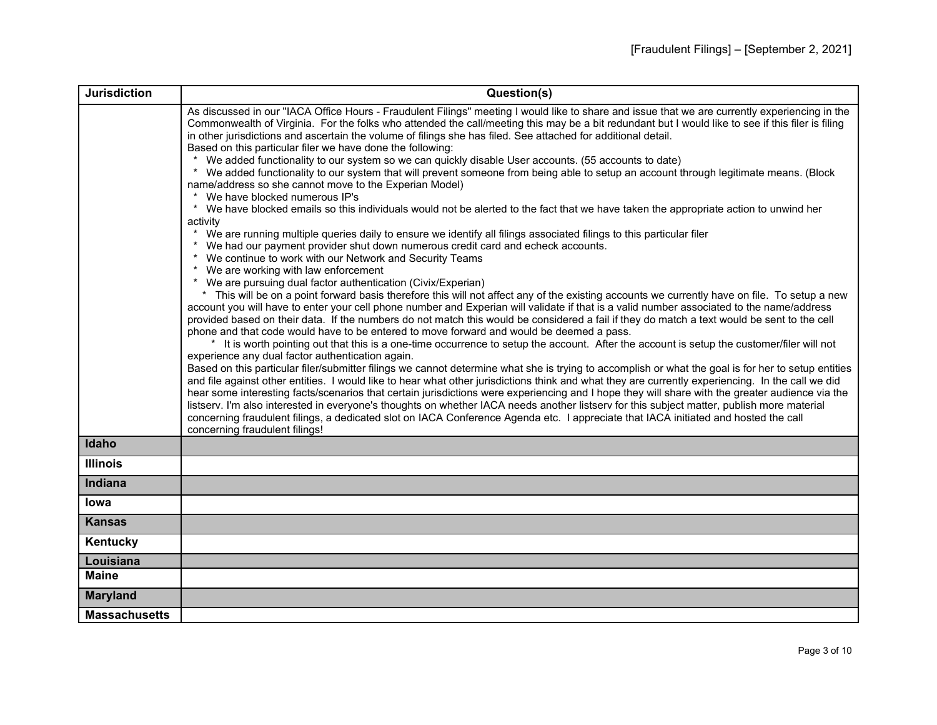| <b>Jurisdiction</b>  | Question(s)                                                                                                                                                                                                                                                                                                                                                                                                                                                                                                                                                                                                                                                                                                                                                                                                                                                                                                                                                                                                                                                                                                                                                                                                                                                                                                                                                                                                                                                                                                                                                                                                                                                         |
|----------------------|---------------------------------------------------------------------------------------------------------------------------------------------------------------------------------------------------------------------------------------------------------------------------------------------------------------------------------------------------------------------------------------------------------------------------------------------------------------------------------------------------------------------------------------------------------------------------------------------------------------------------------------------------------------------------------------------------------------------------------------------------------------------------------------------------------------------------------------------------------------------------------------------------------------------------------------------------------------------------------------------------------------------------------------------------------------------------------------------------------------------------------------------------------------------------------------------------------------------------------------------------------------------------------------------------------------------------------------------------------------------------------------------------------------------------------------------------------------------------------------------------------------------------------------------------------------------------------------------------------------------------------------------------------------------|
|                      | As discussed in our "IACA Office Hours - Fraudulent Filings" meeting I would like to share and issue that we are currently experiencing in the<br>Commonwealth of Virginia. For the folks who attended the call/meeting this may be a bit redundant but I would like to see if this filer is filing<br>in other jurisdictions and ascertain the volume of filings she has filed. See attached for additional detail.<br>Based on this particular filer we have done the following:<br>We added functionality to our system so we can quickly disable User accounts. (55 accounts to date)<br>* We added functionality to our system that will prevent someone from being able to setup an account through legitimate means. (Block<br>name/address so she cannot move to the Experian Model)<br>We have blocked numerous IP's<br>* We have blocked emails so this individuals would not be alerted to the fact that we have taken the appropriate action to unwind her<br>activity<br>We are running multiple queries daily to ensure we identify all filings associated filings to this particular filer<br>* We had our payment provider shut down numerous credit card and echeck accounts.<br>* We continue to work with our Network and Security Teams<br>* We are working with law enforcement<br>* We are pursuing dual factor authentication (Civix/Experian)<br>* This will be on a point forward basis therefore this will not affect any of the existing accounts we currently have on file. To setup a new<br>account you will have to enter your cell phone number and Experian will validate if that is a valid number associated to the name/address |
|                      | provided based on their data. If the numbers do not match this would be considered a fail if they do match a text would be sent to the cell<br>phone and that code would have to be entered to move forward and would be deemed a pass.<br>* It is worth pointing out that this is a one-time occurrence to setup the account. After the account is setup the customer/filer will not<br>experience any dual factor authentication again.                                                                                                                                                                                                                                                                                                                                                                                                                                                                                                                                                                                                                                                                                                                                                                                                                                                                                                                                                                                                                                                                                                                                                                                                                           |
|                      | Based on this particular filer/submitter filings we cannot determine what she is trying to accomplish or what the goal is for her to setup entities<br>and file against other entities. I would like to hear what other jurisdictions think and what they are currently experiencing. In the call we did<br>hear some interesting facts/scenarios that certain jurisdictions were experiencing and I hope they will share with the greater audience via the<br>listserv. I'm also interested in everyone's thoughts on whether IACA needs another listserv for this subject matter, publish more material<br>concerning fraudulent filings, a dedicated slot on IACA Conference Agenda etc. I appreciate that IACA initiated and hosted the call<br>concerning fraudulent filings!                                                                                                                                                                                                                                                                                                                                                                                                                                                                                                                                                                                                                                                                                                                                                                                                                                                                                  |
| Idaho                |                                                                                                                                                                                                                                                                                                                                                                                                                                                                                                                                                                                                                                                                                                                                                                                                                                                                                                                                                                                                                                                                                                                                                                                                                                                                                                                                                                                                                                                                                                                                                                                                                                                                     |
| <b>Illinois</b>      |                                                                                                                                                                                                                                                                                                                                                                                                                                                                                                                                                                                                                                                                                                                                                                                                                                                                                                                                                                                                                                                                                                                                                                                                                                                                                                                                                                                                                                                                                                                                                                                                                                                                     |
| Indiana              |                                                                                                                                                                                                                                                                                                                                                                                                                                                                                                                                                                                                                                                                                                                                                                                                                                                                                                                                                                                                                                                                                                                                                                                                                                                                                                                                                                                                                                                                                                                                                                                                                                                                     |
| Iowa                 |                                                                                                                                                                                                                                                                                                                                                                                                                                                                                                                                                                                                                                                                                                                                                                                                                                                                                                                                                                                                                                                                                                                                                                                                                                                                                                                                                                                                                                                                                                                                                                                                                                                                     |
| <b>Kansas</b>        |                                                                                                                                                                                                                                                                                                                                                                                                                                                                                                                                                                                                                                                                                                                                                                                                                                                                                                                                                                                                                                                                                                                                                                                                                                                                                                                                                                                                                                                                                                                                                                                                                                                                     |
| Kentucky             |                                                                                                                                                                                                                                                                                                                                                                                                                                                                                                                                                                                                                                                                                                                                                                                                                                                                                                                                                                                                                                                                                                                                                                                                                                                                                                                                                                                                                                                                                                                                                                                                                                                                     |
| Louisiana            |                                                                                                                                                                                                                                                                                                                                                                                                                                                                                                                                                                                                                                                                                                                                                                                                                                                                                                                                                                                                                                                                                                                                                                                                                                                                                                                                                                                                                                                                                                                                                                                                                                                                     |
| <b>Maine</b>         |                                                                                                                                                                                                                                                                                                                                                                                                                                                                                                                                                                                                                                                                                                                                                                                                                                                                                                                                                                                                                                                                                                                                                                                                                                                                                                                                                                                                                                                                                                                                                                                                                                                                     |
| <b>Maryland</b>      |                                                                                                                                                                                                                                                                                                                                                                                                                                                                                                                                                                                                                                                                                                                                                                                                                                                                                                                                                                                                                                                                                                                                                                                                                                                                                                                                                                                                                                                                                                                                                                                                                                                                     |
| <b>Massachusetts</b> |                                                                                                                                                                                                                                                                                                                                                                                                                                                                                                                                                                                                                                                                                                                                                                                                                                                                                                                                                                                                                                                                                                                                                                                                                                                                                                                                                                                                                                                                                                                                                                                                                                                                     |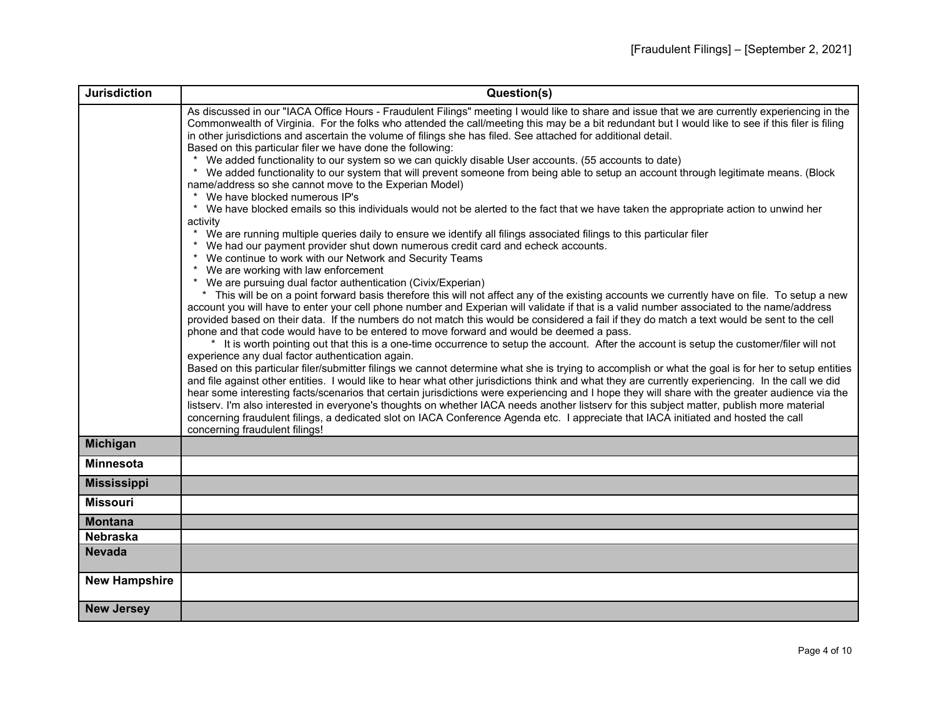| <b>Jurisdiction</b>  | Question(s)                                                                                                                                                                                                                                                                                                                                                                                                                                                                                                                                                                                                                                                                                                                                                                                                                                                                                                                                                                                                                                                                                                                                                                                                                                                                                                                                                                                                                                                                                                                                                                                                                                                                                                                                                                                                                                                                                |
|----------------------|--------------------------------------------------------------------------------------------------------------------------------------------------------------------------------------------------------------------------------------------------------------------------------------------------------------------------------------------------------------------------------------------------------------------------------------------------------------------------------------------------------------------------------------------------------------------------------------------------------------------------------------------------------------------------------------------------------------------------------------------------------------------------------------------------------------------------------------------------------------------------------------------------------------------------------------------------------------------------------------------------------------------------------------------------------------------------------------------------------------------------------------------------------------------------------------------------------------------------------------------------------------------------------------------------------------------------------------------------------------------------------------------------------------------------------------------------------------------------------------------------------------------------------------------------------------------------------------------------------------------------------------------------------------------------------------------------------------------------------------------------------------------------------------------------------------------------------------------------------------------------------------------|
|                      | As discussed in our "IACA Office Hours - Fraudulent Filings" meeting I would like to share and issue that we are currently experiencing in the<br>Commonwealth of Virginia. For the folks who attended the call/meeting this may be a bit redundant but I would like to see if this filer is filing<br>in other jurisdictions and ascertain the volume of filings she has filed. See attached for additional detail.<br>Based on this particular filer we have done the following:                                                                                                                                                                                                                                                                                                                                                                                                                                                                                                                                                                                                                                                                                                                                                                                                                                                                                                                                                                                                                                                                                                                                                                                                                                                                                                                                                                                                         |
|                      | We added functionality to our system so we can quickly disable User accounts. (55 accounts to date)<br>We added functionality to our system that will prevent someone from being able to setup an account through legitimate means. (Block<br>$\star$<br>name/address so she cannot move to the Experian Model)<br>We have blocked numerous IP's                                                                                                                                                                                                                                                                                                                                                                                                                                                                                                                                                                                                                                                                                                                                                                                                                                                                                                                                                                                                                                                                                                                                                                                                                                                                                                                                                                                                                                                                                                                                           |
|                      | * We have blocked emails so this individuals would not be alerted to the fact that we have taken the appropriate action to unwind her                                                                                                                                                                                                                                                                                                                                                                                                                                                                                                                                                                                                                                                                                                                                                                                                                                                                                                                                                                                                                                                                                                                                                                                                                                                                                                                                                                                                                                                                                                                                                                                                                                                                                                                                                      |
|                      | activity<br>We are running multiple queries daily to ensure we identify all filings associated filings to this particular filer<br>* We had our payment provider shut down numerous credit card and echeck accounts.<br>* We continue to work with our Network and Security Teams<br>* We are working with law enforcement<br>* We are pursuing dual factor authentication (Civix/Experian)<br>* This will be on a point forward basis therefore this will not affect any of the existing accounts we currently have on file. To setup a new<br>account you will have to enter your cell phone number and Experian will validate if that is a valid number associated to the name/address<br>provided based on their data. If the numbers do not match this would be considered a fail if they do match a text would be sent to the cell<br>phone and that code would have to be entered to move forward and would be deemed a pass.<br>* It is worth pointing out that this is a one-time occurrence to setup the account. After the account is setup the customer/filer will not<br>experience any dual factor authentication again.<br>Based on this particular filer/submitter filings we cannot determine what she is trying to accomplish or what the goal is for her to setup entities<br>and file against other entities. I would like to hear what other jurisdictions think and what they are currently experiencing. In the call we did<br>hear some interesting facts/scenarios that certain jurisdictions were experiencing and I hope they will share with the greater audience via the<br>listserv. I'm also interested in everyone's thoughts on whether IACA needs another listserv for this subject matter, publish more material<br>concerning fraudulent filings, a dedicated slot on IACA Conference Agenda etc. I appreciate that IACA initiated and hosted the call |
| <b>Michigan</b>      | concerning fraudulent filings!                                                                                                                                                                                                                                                                                                                                                                                                                                                                                                                                                                                                                                                                                                                                                                                                                                                                                                                                                                                                                                                                                                                                                                                                                                                                                                                                                                                                                                                                                                                                                                                                                                                                                                                                                                                                                                                             |
| <b>Minnesota</b>     |                                                                                                                                                                                                                                                                                                                                                                                                                                                                                                                                                                                                                                                                                                                                                                                                                                                                                                                                                                                                                                                                                                                                                                                                                                                                                                                                                                                                                                                                                                                                                                                                                                                                                                                                                                                                                                                                                            |
| <b>Mississippi</b>   |                                                                                                                                                                                                                                                                                                                                                                                                                                                                                                                                                                                                                                                                                                                                                                                                                                                                                                                                                                                                                                                                                                                                                                                                                                                                                                                                                                                                                                                                                                                                                                                                                                                                                                                                                                                                                                                                                            |
| <b>Missouri</b>      |                                                                                                                                                                                                                                                                                                                                                                                                                                                                                                                                                                                                                                                                                                                                                                                                                                                                                                                                                                                                                                                                                                                                                                                                                                                                                                                                                                                                                                                                                                                                                                                                                                                                                                                                                                                                                                                                                            |
| <b>Montana</b>       |                                                                                                                                                                                                                                                                                                                                                                                                                                                                                                                                                                                                                                                                                                                                                                                                                                                                                                                                                                                                                                                                                                                                                                                                                                                                                                                                                                                                                                                                                                                                                                                                                                                                                                                                                                                                                                                                                            |
| <b>Nebraska</b>      |                                                                                                                                                                                                                                                                                                                                                                                                                                                                                                                                                                                                                                                                                                                                                                                                                                                                                                                                                                                                                                                                                                                                                                                                                                                                                                                                                                                                                                                                                                                                                                                                                                                                                                                                                                                                                                                                                            |
| <b>Nevada</b>        |                                                                                                                                                                                                                                                                                                                                                                                                                                                                                                                                                                                                                                                                                                                                                                                                                                                                                                                                                                                                                                                                                                                                                                                                                                                                                                                                                                                                                                                                                                                                                                                                                                                                                                                                                                                                                                                                                            |
| <b>New Hampshire</b> |                                                                                                                                                                                                                                                                                                                                                                                                                                                                                                                                                                                                                                                                                                                                                                                                                                                                                                                                                                                                                                                                                                                                                                                                                                                                                                                                                                                                                                                                                                                                                                                                                                                                                                                                                                                                                                                                                            |
| <b>New Jersey</b>    |                                                                                                                                                                                                                                                                                                                                                                                                                                                                                                                                                                                                                                                                                                                                                                                                                                                                                                                                                                                                                                                                                                                                                                                                                                                                                                                                                                                                                                                                                                                                                                                                                                                                                                                                                                                                                                                                                            |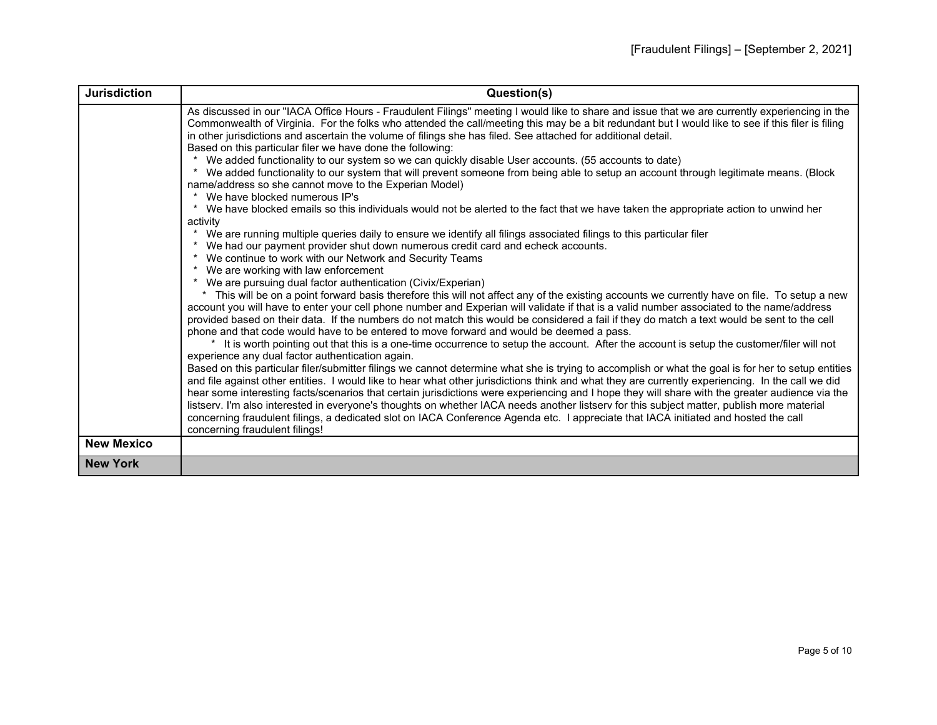| <b>Jurisdiction</b> | Question(s)                                                                                                                                                                                                                                                                                                                                                                                                                                                                                                                                                                                                                                                                                                                      |
|---------------------|----------------------------------------------------------------------------------------------------------------------------------------------------------------------------------------------------------------------------------------------------------------------------------------------------------------------------------------------------------------------------------------------------------------------------------------------------------------------------------------------------------------------------------------------------------------------------------------------------------------------------------------------------------------------------------------------------------------------------------|
|                     | As discussed in our "IACA Office Hours - Fraudulent Filings" meeting I would like to share and issue that we are currently experiencing in the<br>Commonwealth of Virginia. For the folks who attended the call/meeting this may be a bit redundant but I would like to see if this filer is filing<br>in other jurisdictions and ascertain the volume of filings she has filed. See attached for additional detail.<br>Based on this particular filer we have done the following:<br>We added functionality to our system so we can quickly disable User accounts. (55 accounts to date)<br>We added functionality to our system that will prevent someone from being able to setup an account through legitimate means. (Block |
|                     | name/address so she cannot move to the Experian Model)<br>We have blocked numerous IP's                                                                                                                                                                                                                                                                                                                                                                                                                                                                                                                                                                                                                                          |
|                     | We have blocked emails so this individuals would not be alerted to the fact that we have taken the appropriate action to unwind her<br>activity                                                                                                                                                                                                                                                                                                                                                                                                                                                                                                                                                                                  |
|                     | We are running multiple queries daily to ensure we identify all filings associated filings to this particular filer<br>We had our payment provider shut down numerous credit card and echeck accounts.                                                                                                                                                                                                                                                                                                                                                                                                                                                                                                                           |
|                     | We continue to work with our Network and Security Teams<br>* We are working with law enforcement                                                                                                                                                                                                                                                                                                                                                                                                                                                                                                                                                                                                                                 |
|                     | We are pursuing dual factor authentication (Civix/Experian)<br>This will be on a point forward basis therefore this will not affect any of the existing accounts we currently have on file. To setup a new<br>account you will have to enter your cell phone number and Experian will validate if that is a valid number associated to the name/address<br>provided based on their data. If the numbers do not match this would be considered a fail if they do match a text would be sent to the cell<br>phone and that code would have to be entered to move forward and would be deemed a pass.                                                                                                                               |
|                     | It is worth pointing out that this is a one-time occurrence to setup the account. After the account is setup the customer/filer will not<br>experience any dual factor authentication again.                                                                                                                                                                                                                                                                                                                                                                                                                                                                                                                                     |
|                     | Based on this particular filer/submitter filings we cannot determine what she is trying to accomplish or what the goal is for her to setup entities<br>and file against other entities. I would like to hear what other jurisdictions think and what they are currently experiencing. In the call we did<br>hear some interesting facts/scenarios that certain jurisdictions were experiencing and I hope they will share with the greater audience via the                                                                                                                                                                                                                                                                      |
|                     | listserv. I'm also interested in everyone's thoughts on whether IACA needs another listserv for this subject matter, publish more material<br>concerning fraudulent filings, a dedicated slot on IACA Conference Agenda etc. I appreciate that IACA initiated and hosted the call<br>concerning fraudulent filings!                                                                                                                                                                                                                                                                                                                                                                                                              |
| <b>New Mexico</b>   |                                                                                                                                                                                                                                                                                                                                                                                                                                                                                                                                                                                                                                                                                                                                  |
| <b>New York</b>     |                                                                                                                                                                                                                                                                                                                                                                                                                                                                                                                                                                                                                                                                                                                                  |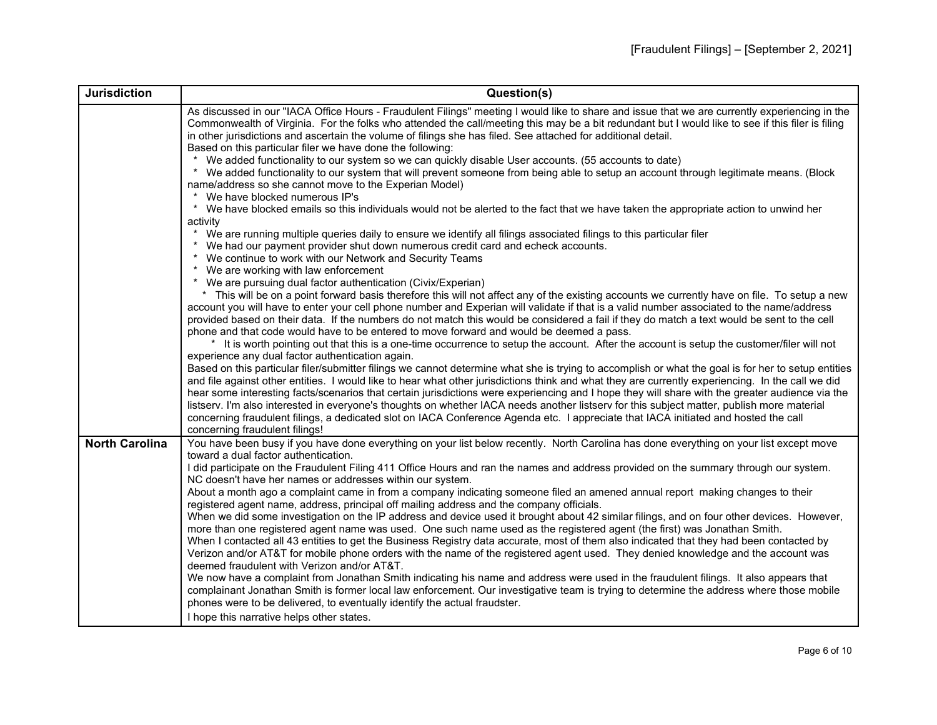| <b>Jurisdiction</b>   | Question(s)                                                                                                                                                                                                                                                                                                                                                                                                                                                                                                                                                                                                                                                                                                                                                                        |
|-----------------------|------------------------------------------------------------------------------------------------------------------------------------------------------------------------------------------------------------------------------------------------------------------------------------------------------------------------------------------------------------------------------------------------------------------------------------------------------------------------------------------------------------------------------------------------------------------------------------------------------------------------------------------------------------------------------------------------------------------------------------------------------------------------------------|
|                       | As discussed in our "IACA Office Hours - Fraudulent Filings" meeting I would like to share and issue that we are currently experiencing in the<br>Commonwealth of Virginia. For the folks who attended the call/meeting this may be a bit redundant but I would like to see if this filer is filing<br>in other jurisdictions and ascertain the volume of filings she has filed. See attached for additional detail.<br>Based on this particular filer we have done the following:                                                                                                                                                                                                                                                                                                 |
|                       | We added functionality to our system so we can quickly disable User accounts. (55 accounts to date)<br>$\star$<br>We added functionality to our system that will prevent someone from being able to setup an account through legitimate means. (Block<br>name/address so she cannot move to the Experian Model)<br>We have blocked numerous IP's                                                                                                                                                                                                                                                                                                                                                                                                                                   |
|                       | * We have blocked emails so this individuals would not be alerted to the fact that we have taken the appropriate action to unwind her                                                                                                                                                                                                                                                                                                                                                                                                                                                                                                                                                                                                                                              |
|                       | activity<br>We are running multiple queries daily to ensure we identify all filings associated filings to this particular filer<br>* We had our payment provider shut down numerous credit card and echeck accounts.<br>* We continue to work with our Network and Security Teams                                                                                                                                                                                                                                                                                                                                                                                                                                                                                                  |
|                       | We are working with law enforcement<br>$\star$<br>* We are pursuing dual factor authentication (Civix/Experian)                                                                                                                                                                                                                                                                                                                                                                                                                                                                                                                                                                                                                                                                    |
|                       | * This will be on a point forward basis therefore this will not affect any of the existing accounts we currently have on file. To setup a new<br>account you will have to enter your cell phone number and Experian will validate if that is a valid number associated to the name/address<br>provided based on their data. If the numbers do not match this would be considered a fail if they do match a text would be sent to the cell<br>phone and that code would have to be entered to move forward and would be deemed a pass.                                                                                                                                                                                                                                              |
|                       | * It is worth pointing out that this is a one-time occurrence to setup the account. After the account is setup the customer/filer will not<br>experience any dual factor authentication again.                                                                                                                                                                                                                                                                                                                                                                                                                                                                                                                                                                                     |
|                       | Based on this particular filer/submitter filings we cannot determine what she is trying to accomplish or what the goal is for her to setup entities<br>and file against other entities. I would like to hear what other jurisdictions think and what they are currently experiencing. In the call we did<br>hear some interesting facts/scenarios that certain jurisdictions were experiencing and I hope they will share with the greater audience via the<br>listserv. I'm also interested in everyone's thoughts on whether IACA needs another listserv for this subject matter, publish more material<br>concerning fraudulent filings, a dedicated slot on IACA Conference Agenda etc. I appreciate that IACA initiated and hosted the call<br>concerning fraudulent filings! |
| <b>North Carolina</b> | You have been busy if you have done everything on your list below recently. North Carolina has done everything on your list except move<br>toward a dual factor authentication.                                                                                                                                                                                                                                                                                                                                                                                                                                                                                                                                                                                                    |
|                       | I did participate on the Fraudulent Filing 411 Office Hours and ran the names and address provided on the summary through our system.                                                                                                                                                                                                                                                                                                                                                                                                                                                                                                                                                                                                                                              |
|                       | NC doesn't have her names or addresses within our system.<br>About a month ago a complaint came in from a company indicating someone filed an amened annual report making changes to their<br>registered agent name, address, principal off mailing address and the company officials.<br>When we did some investigation on the IP address and device used it brought about 42 similar filings, and on four other devices. However,                                                                                                                                                                                                                                                                                                                                                |
|                       | more than one registered agent name was used. One such name used as the registered agent (the first) was Jonathan Smith.<br>When I contacted all 43 entities to get the Business Registry data accurate, most of them also indicated that they had been contacted by<br>Verizon and/or AT&T for mobile phone orders with the name of the registered agent used. They denied knowledge and the account was<br>deemed fraudulent with Verizon and/or AT&T.                                                                                                                                                                                                                                                                                                                           |
|                       | We now have a complaint from Jonathan Smith indicating his name and address were used in the fraudulent filings. It also appears that<br>complainant Jonathan Smith is former local law enforcement. Our investigative team is trying to determine the address where those mobile<br>phones were to be delivered, to eventually identify the actual fraudster.                                                                                                                                                                                                                                                                                                                                                                                                                     |
|                       | I hope this narrative helps other states.                                                                                                                                                                                                                                                                                                                                                                                                                                                                                                                                                                                                                                                                                                                                          |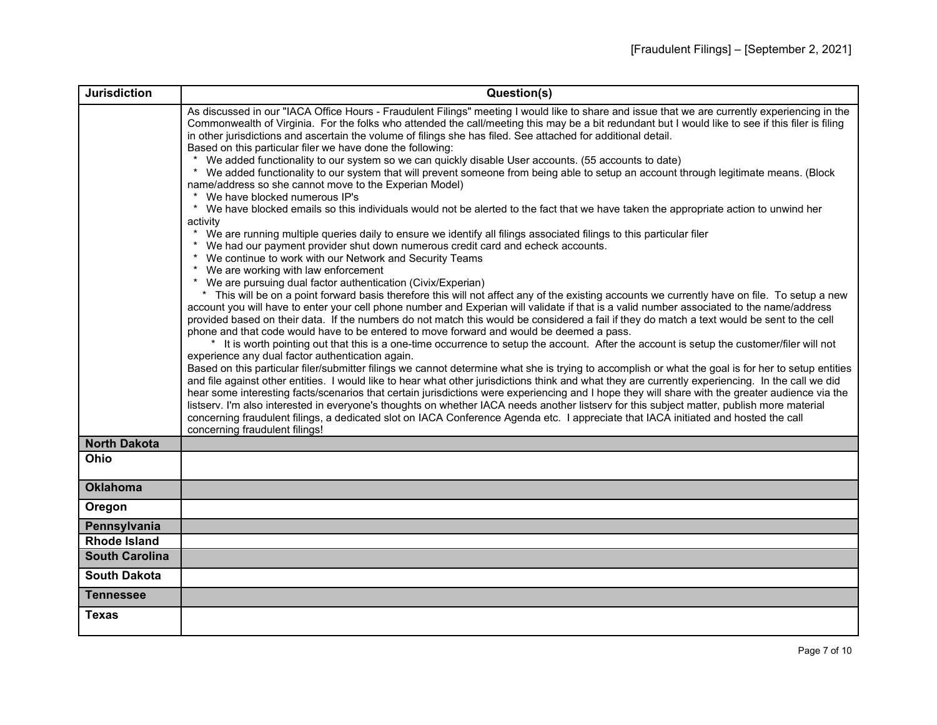| <b>Jurisdiction</b>   | Question(s)                                                                                                                                                                                                                                                                                                                                                                                                                                                                                                                                                                                                                                                                                                                                                                                                                            |
|-----------------------|----------------------------------------------------------------------------------------------------------------------------------------------------------------------------------------------------------------------------------------------------------------------------------------------------------------------------------------------------------------------------------------------------------------------------------------------------------------------------------------------------------------------------------------------------------------------------------------------------------------------------------------------------------------------------------------------------------------------------------------------------------------------------------------------------------------------------------------|
|                       | As discussed in our "IACA Office Hours - Fraudulent Filings" meeting I would like to share and issue that we are currently experiencing in the<br>Commonwealth of Virginia. For the folks who attended the call/meeting this may be a bit redundant but I would like to see if this filer is filing<br>in other jurisdictions and ascertain the volume of filings she has filed. See attached for additional detail.<br>Based on this particular filer we have done the following:                                                                                                                                                                                                                                                                                                                                                     |
|                       | We added functionality to our system so we can quickly disable User accounts. (55 accounts to date)<br>* We added functionality to our system that will prevent someone from being able to setup an account through legitimate means. (Block<br>name/address so she cannot move to the Experian Model)<br>* We have blocked numerous IP's                                                                                                                                                                                                                                                                                                                                                                                                                                                                                              |
|                       | * We have blocked emails so this individuals would not be alerted to the fact that we have taken the appropriate action to unwind her<br>activity                                                                                                                                                                                                                                                                                                                                                                                                                                                                                                                                                                                                                                                                                      |
|                       | * We are running multiple queries daily to ensure we identify all filings associated filings to this particular filer<br>* We had our payment provider shut down numerous credit card and echeck accounts.<br>* We continue to work with our Network and Security Teams                                                                                                                                                                                                                                                                                                                                                                                                                                                                                                                                                                |
|                       | * We are working with law enforcement<br>* We are pursuing dual factor authentication (Civix/Experian)                                                                                                                                                                                                                                                                                                                                                                                                                                                                                                                                                                                                                                                                                                                                 |
|                       | * This will be on a point forward basis therefore this will not affect any of the existing accounts we currently have on file. To setup a new<br>account you will have to enter your cell phone number and Experian will validate if that is a valid number associated to the name/address<br>provided based on their data. If the numbers do not match this would be considered a fail if they do match a text would be sent to the cell                                                                                                                                                                                                                                                                                                                                                                                              |
|                       | phone and that code would have to be entered to move forward and would be deemed a pass.<br>* It is worth pointing out that this is a one-time occurrence to setup the account. After the account is setup the customer/filer will not                                                                                                                                                                                                                                                                                                                                                                                                                                                                                                                                                                                                 |
|                       | experience any dual factor authentication again.<br>Based on this particular filer/submitter filings we cannot determine what she is trying to accomplish or what the goal is for her to setup entities<br>and file against other entities. I would like to hear what other jurisdictions think and what they are currently experiencing. In the call we did<br>hear some interesting facts/scenarios that certain jurisdictions were experiencing and I hope they will share with the greater audience via the<br>listserv. I'm also interested in everyone's thoughts on whether IACA needs another listserv for this subject matter, publish more material<br>concerning fraudulent filings, a dedicated slot on IACA Conference Agenda etc. I appreciate that IACA initiated and hosted the call<br>concerning fraudulent filings! |
| <b>North Dakota</b>   |                                                                                                                                                                                                                                                                                                                                                                                                                                                                                                                                                                                                                                                                                                                                                                                                                                        |
| Ohio                  |                                                                                                                                                                                                                                                                                                                                                                                                                                                                                                                                                                                                                                                                                                                                                                                                                                        |
| <b>Oklahoma</b>       |                                                                                                                                                                                                                                                                                                                                                                                                                                                                                                                                                                                                                                                                                                                                                                                                                                        |
| Oregon                |                                                                                                                                                                                                                                                                                                                                                                                                                                                                                                                                                                                                                                                                                                                                                                                                                                        |
| Pennsylvania          |                                                                                                                                                                                                                                                                                                                                                                                                                                                                                                                                                                                                                                                                                                                                                                                                                                        |
| <b>Rhode Island</b>   |                                                                                                                                                                                                                                                                                                                                                                                                                                                                                                                                                                                                                                                                                                                                                                                                                                        |
| <b>South Carolina</b> |                                                                                                                                                                                                                                                                                                                                                                                                                                                                                                                                                                                                                                                                                                                                                                                                                                        |
| <b>South Dakota</b>   |                                                                                                                                                                                                                                                                                                                                                                                                                                                                                                                                                                                                                                                                                                                                                                                                                                        |
| <b>Tennessee</b>      |                                                                                                                                                                                                                                                                                                                                                                                                                                                                                                                                                                                                                                                                                                                                                                                                                                        |
| Texas                 |                                                                                                                                                                                                                                                                                                                                                                                                                                                                                                                                                                                                                                                                                                                                                                                                                                        |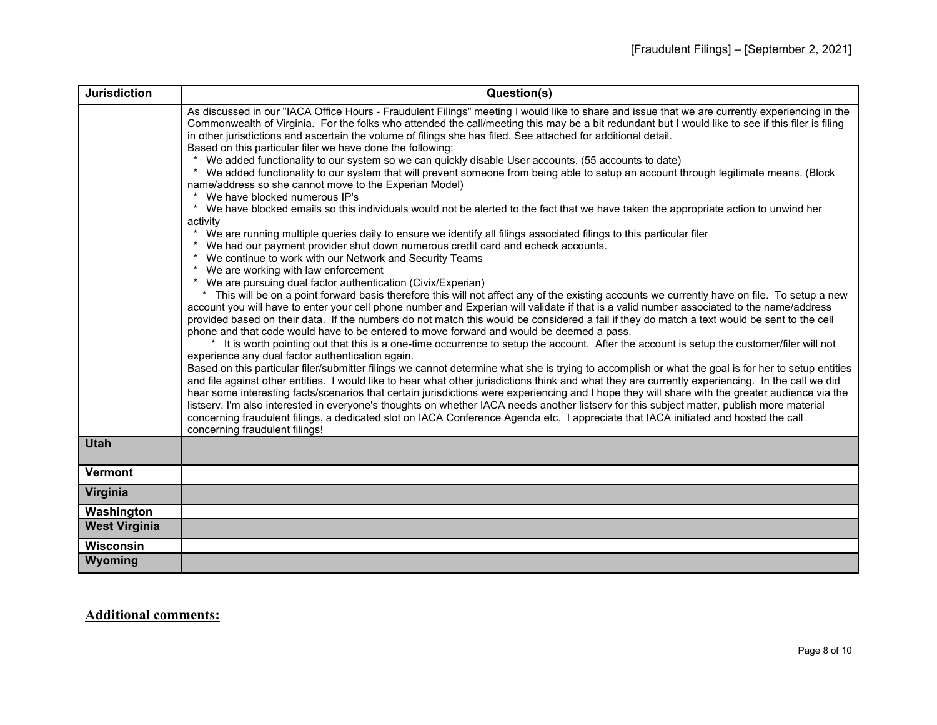| <b>Jurisdiction</b>  | Question(s)                                                                                                                                                                                                                                                                                                                                                                                                                                                                                                                                                                                                                                                                                                                                                                                                                                                                                                                                                                                                                                                                                                                                                                                                                                                                                                                                                                                                                                                                                                                                                                                                                                                           |
|----------------------|-----------------------------------------------------------------------------------------------------------------------------------------------------------------------------------------------------------------------------------------------------------------------------------------------------------------------------------------------------------------------------------------------------------------------------------------------------------------------------------------------------------------------------------------------------------------------------------------------------------------------------------------------------------------------------------------------------------------------------------------------------------------------------------------------------------------------------------------------------------------------------------------------------------------------------------------------------------------------------------------------------------------------------------------------------------------------------------------------------------------------------------------------------------------------------------------------------------------------------------------------------------------------------------------------------------------------------------------------------------------------------------------------------------------------------------------------------------------------------------------------------------------------------------------------------------------------------------------------------------------------------------------------------------------------|
|                      | As discussed in our "IACA Office Hours - Fraudulent Filings" meeting I would like to share and issue that we are currently experiencing in the<br>Commonwealth of Virginia. For the folks who attended the call/meeting this may be a bit redundant but I would like to see if this filer is filing<br>in other jurisdictions and ascertain the volume of filings she has filed. See attached for additional detail.<br>Based on this particular filer we have done the following:<br>We added functionality to our system so we can quickly disable User accounts. (55 accounts to date)<br>* We added functionality to our system that will prevent someone from being able to setup an account through legitimate means. (Block<br>name/address so she cannot move to the Experian Model)<br>We have blocked numerous IP's<br>* We have blocked emails so this individuals would not be alerted to the fact that we have taken the appropriate action to unwind her<br>activity<br>* We are running multiple queries daily to ensure we identify all filings associated filings to this particular filer<br>* We had our payment provider shut down numerous credit card and echeck accounts.<br>* We continue to work with our Network and Security Teams<br>* We are working with law enforcement<br>* We are pursuing dual factor authentication (Civix/Experian)<br>* This will be on a point forward basis therefore this will not affect any of the existing accounts we currently have on file. To setup a new<br>account you will have to enter your cell phone number and Experian will validate if that is a valid number associated to the name/address |
|                      | provided based on their data. If the numbers do not match this would be considered a fail if they do match a text would be sent to the cell<br>phone and that code would have to be entered to move forward and would be deemed a pass.<br>* It is worth pointing out that this is a one-time occurrence to setup the account. After the account is setup the customer/filer will not                                                                                                                                                                                                                                                                                                                                                                                                                                                                                                                                                                                                                                                                                                                                                                                                                                                                                                                                                                                                                                                                                                                                                                                                                                                                                 |
|                      | experience any dual factor authentication again.<br>Based on this particular filer/submitter filings we cannot determine what she is trying to accomplish or what the goal is for her to setup entities<br>and file against other entities. I would like to hear what other jurisdictions think and what they are currently experiencing. In the call we did<br>hear some interesting facts/scenarios that certain jurisdictions were experiencing and I hope they will share with the greater audience via the<br>listserv. I'm also interested in everyone's thoughts on whether IACA needs another listserv for this subject matter, publish more material<br>concerning fraudulent filings, a dedicated slot on IACA Conference Agenda etc. I appreciate that IACA initiated and hosted the call<br>concerning fraudulent filings!                                                                                                                                                                                                                                                                                                                                                                                                                                                                                                                                                                                                                                                                                                                                                                                                                                |
| <b>Utah</b>          |                                                                                                                                                                                                                                                                                                                                                                                                                                                                                                                                                                                                                                                                                                                                                                                                                                                                                                                                                                                                                                                                                                                                                                                                                                                                                                                                                                                                                                                                                                                                                                                                                                                                       |
| <b>Vermont</b>       |                                                                                                                                                                                                                                                                                                                                                                                                                                                                                                                                                                                                                                                                                                                                                                                                                                                                                                                                                                                                                                                                                                                                                                                                                                                                                                                                                                                                                                                                                                                                                                                                                                                                       |
| Virginia             |                                                                                                                                                                                                                                                                                                                                                                                                                                                                                                                                                                                                                                                                                                                                                                                                                                                                                                                                                                                                                                                                                                                                                                                                                                                                                                                                                                                                                                                                                                                                                                                                                                                                       |
| Washington           |                                                                                                                                                                                                                                                                                                                                                                                                                                                                                                                                                                                                                                                                                                                                                                                                                                                                                                                                                                                                                                                                                                                                                                                                                                                                                                                                                                                                                                                                                                                                                                                                                                                                       |
| <b>West Virginia</b> |                                                                                                                                                                                                                                                                                                                                                                                                                                                                                                                                                                                                                                                                                                                                                                                                                                                                                                                                                                                                                                                                                                                                                                                                                                                                                                                                                                                                                                                                                                                                                                                                                                                                       |
| <b>Wisconsin</b>     |                                                                                                                                                                                                                                                                                                                                                                                                                                                                                                                                                                                                                                                                                                                                                                                                                                                                                                                                                                                                                                                                                                                                                                                                                                                                                                                                                                                                                                                                                                                                                                                                                                                                       |
| Wyoming              |                                                                                                                                                                                                                                                                                                                                                                                                                                                                                                                                                                                                                                                                                                                                                                                                                                                                                                                                                                                                                                                                                                                                                                                                                                                                                                                                                                                                                                                                                                                                                                                                                                                                       |

## **Additional comments:**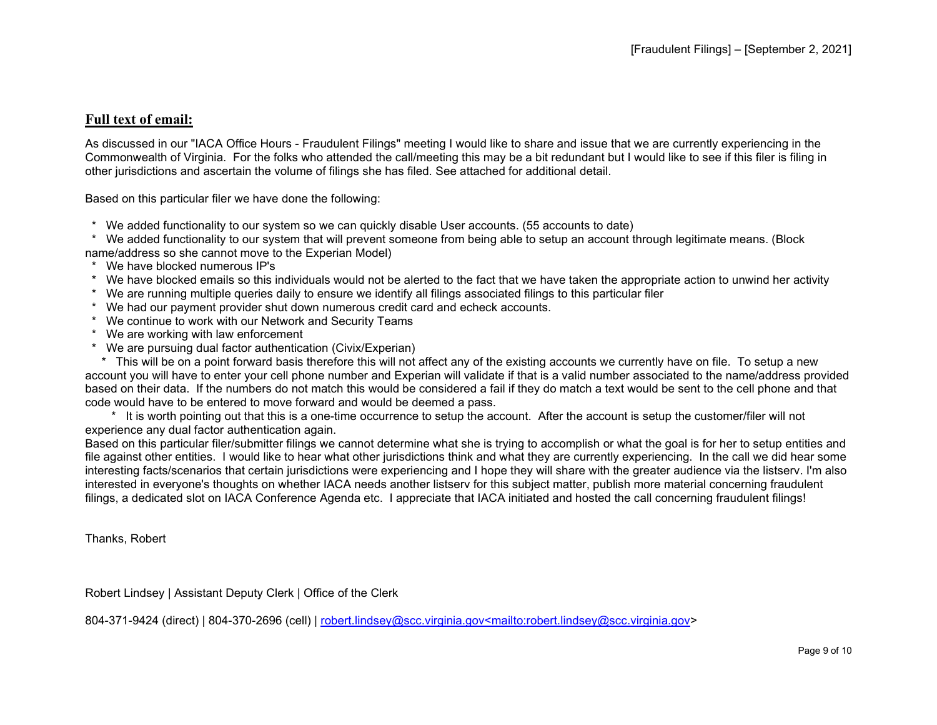## **Full text of email:**

As discussed in our "IACA Office Hours - Fraudulent Filings" meeting I would like to share and issue that we are currently experiencing in the Commonwealth of Virginia. For the folks who attended the call/meeting this may be a bit redundant but I would like to see if this filer is filing in other jurisdictions and ascertain the volume of filings she has filed. See attached for additional detail.

Based on this particular filer we have done the following:

\* We added functionality to our system so we can quickly disable User accounts. (55 accounts to date)

 \* We added functionality to our system that will prevent someone from being able to setup an account through legitimate means. (Block name/address so she cannot move to the Experian Model)

- \* We have blocked numerous IP's
- \* We have blocked emails so this individuals would not be alerted to the fact that we have taken the appropriate action to unwind her activity
- \* We are running multiple queries daily to ensure we identify all filings associated filings to this particular filer
- \* We had our payment provider shut down numerous credit card and echeck accounts.
- \* We continue to work with our Network and Security Teams
- \* We are working with law enforcement
- \* We are pursuing dual factor authentication (Civix/Experian)

 \* This will be on a point forward basis therefore this will not affect any of the existing accounts we currently have on file. To setup a new account you will have to enter your cell phone number and Experian will validate if that is a valid number associated to the name/address provided based on their data. If the numbers do not match this would be considered a fail if they do match a text would be sent to the cell phone and that code would have to be entered to move forward and would be deemed a pass.

 \* It is worth pointing out that this is a one-time occurrence to setup the account. After the account is setup the customer/filer will not experience any dual factor authentication again.

Based on this particular filer/submitter filings we cannot determine what she is trying to accomplish or what the goal is for her to setup entities and file against other entities. I would like to hear what other jurisdictions think and what they are currently experiencing. In the call we did hear some interesting facts/scenarios that certain jurisdictions were experiencing and I hope they will share with the greater audience via the listserv. I'm also interested in everyone's thoughts on whether IACA needs another listserv for this subject matter, publish more material concerning fraudulent filings, a dedicated slot on IACA Conference Agenda etc. I appreciate that IACA initiated and hosted the call concerning fraudulent filings!

Thanks, Robert

Robert Lindsey | Assistant Deputy Clerk | Office of the Clerk

804-371-9424 (direct) | 804-370-2696 (cell) | [robert.lindsey@scc.virginia.gov<mailto:robert.lindsey@scc.virginia.gov>](mailto:robert.lindsey@scc.virginia.gov%3cmailto:robert.lindsey@scc.virginia.gov)